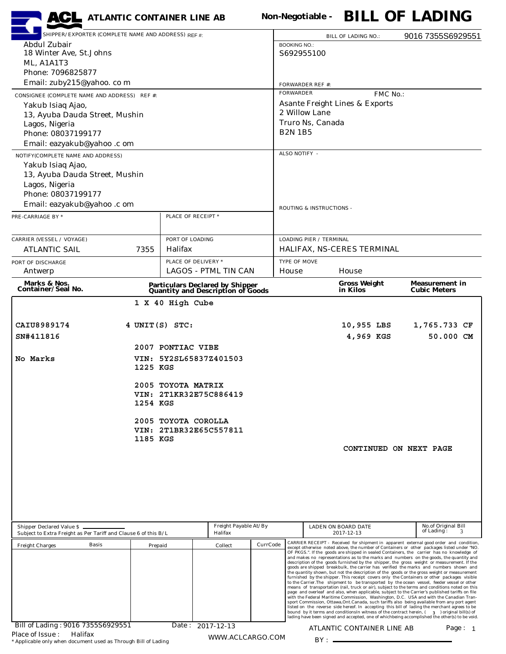| <b>ACL</b> ATLANTIC CONTAINER LINE AB                                                                                            |                        |                                                 |  |                                                                              |          |                                                                                                                                                                                                                                                                                    |                                           | Non-Negotiable - <b>BILL OF LADING</b>                                                                                                                                                                                                                                                         |  |  |                        |                                         |  |  |  |
|----------------------------------------------------------------------------------------------------------------------------------|------------------------|-------------------------------------------------|--|------------------------------------------------------------------------------|----------|------------------------------------------------------------------------------------------------------------------------------------------------------------------------------------------------------------------------------------------------------------------------------------|-------------------------------------------|------------------------------------------------------------------------------------------------------------------------------------------------------------------------------------------------------------------------------------------------------------------------------------------------|--|--|------------------------|-----------------------------------------|--|--|--|
| SHIPPER/EXPORTER (COMPLETE NAME AND ADDRESS) REF #:                                                                              |                        | 9016 7355S6929551<br><b>BILL OF LADING NO.:</b> |  |                                                                              |          |                                                                                                                                                                                                                                                                                    |                                           |                                                                                                                                                                                                                                                                                                |  |  |                        |                                         |  |  |  |
| Abdul Zubair                                                                                                                     |                        |                                                 |  |                                                                              |          | <b>BOOKING NO.:</b>                                                                                                                                                                                                                                                                |                                           |                                                                                                                                                                                                                                                                                                |  |  |                        |                                         |  |  |  |
| 18 Winter Ave, St. Johns                                                                                                         |                        |                                                 |  |                                                                              |          | S692955100                                                                                                                                                                                                                                                                         |                                           |                                                                                                                                                                                                                                                                                                |  |  |                        |                                         |  |  |  |
| ML, A1A1T3<br>Phone: 7096825877                                                                                                  |                        |                                                 |  |                                                                              |          |                                                                                                                                                                                                                                                                                    |                                           |                                                                                                                                                                                                                                                                                                |  |  |                        |                                         |  |  |  |
| Email: zuby215@yahoo. co m                                                                                                       |                        |                                                 |  |                                                                              |          | <b>FORWARDER REF #:</b>                                                                                                                                                                                                                                                            |                                           |                                                                                                                                                                                                                                                                                                |  |  |                        |                                         |  |  |  |
|                                                                                                                                  |                        | <b>FORWARDER</b>                                |  |                                                                              | FMC No.: |                                                                                                                                                                                                                                                                                    |                                           |                                                                                                                                                                                                                                                                                                |  |  |                        |                                         |  |  |  |
| CONSIGNEE (COMPLETE NAME AND ADDRESS) REF #:<br>Yakub Isiaq Ajao,                                                                |                        |                                                 |  |                                                                              |          |                                                                                                                                                                                                                                                                                    | <b>Asante Freight Lines &amp; Exports</b> |                                                                                                                                                                                                                                                                                                |  |  |                        |                                         |  |  |  |
| 13, Ayuba Dauda Street, Mushin                                                                                                   |                        |                                                 |  |                                                                              |          |                                                                                                                                                                                                                                                                                    | 2 Willow Lane                             |                                                                                                                                                                                                                                                                                                |  |  |                        |                                         |  |  |  |
| Lagos, Nigeria                                                                                                                   |                        |                                                 |  |                                                                              |          | Truro Ns, Canada                                                                                                                                                                                                                                                                   |                                           |                                                                                                                                                                                                                                                                                                |  |  |                        |                                         |  |  |  |
| Phone: 08037199177                                                                                                               |                        | <b>B2N 1B5</b>                                  |  |                                                                              |          |                                                                                                                                                                                                                                                                                    |                                           |                                                                                                                                                                                                                                                                                                |  |  |                        |                                         |  |  |  |
| Email: eazyakub@yahoo .c om                                                                                                      |                        |                                                 |  |                                                                              |          |                                                                                                                                                                                                                                                                                    |                                           |                                                                                                                                                                                                                                                                                                |  |  |                        |                                         |  |  |  |
| NOTIFY(COMPLETE NAME AND ADDRESS)                                                                                                |                        |                                                 |  |                                                                              |          | ALSO NOTIFY -                                                                                                                                                                                                                                                                      |                                           |                                                                                                                                                                                                                                                                                                |  |  |                        |                                         |  |  |  |
| Yakub Isiaq Ajao,                                                                                                                |                        |                                                 |  |                                                                              |          |                                                                                                                                                                                                                                                                                    |                                           |                                                                                                                                                                                                                                                                                                |  |  |                        |                                         |  |  |  |
| 13, Ayuba Dauda Street, Mushin                                                                                                   |                        |                                                 |  |                                                                              |          |                                                                                                                                                                                                                                                                                    |                                           |                                                                                                                                                                                                                                                                                                |  |  |                        |                                         |  |  |  |
| Lagos, Nigeria<br>Phone: 08037199177                                                                                             |                        |                                                 |  |                                                                              |          |                                                                                                                                                                                                                                                                                    |                                           |                                                                                                                                                                                                                                                                                                |  |  |                        |                                         |  |  |  |
| Email: eazyakub@yahoo .c om                                                                                                      |                        |                                                 |  |                                                                              |          |                                                                                                                                                                                                                                                                                    |                                           |                                                                                                                                                                                                                                                                                                |  |  |                        |                                         |  |  |  |
| PRE-CARRIAGE BY *                                                                                                                |                        | PLACE OF RECEIPT *                              |  |                                                                              |          | ROUTING & INSTRUCTIONS -                                                                                                                                                                                                                                                           |                                           |                                                                                                                                                                                                                                                                                                |  |  |                        |                                         |  |  |  |
|                                                                                                                                  |                        |                                                 |  |                                                                              |          |                                                                                                                                                                                                                                                                                    |                                           |                                                                                                                                                                                                                                                                                                |  |  |                        |                                         |  |  |  |
| <b>CARRIER (VESSEL / VOYAGE)</b>                                                                                                 |                        | PORT OF LOADING                                 |  |                                                                              |          |                                                                                                                                                                                                                                                                                    | <b>LOADING PIER / TERMINAL</b>            |                                                                                                                                                                                                                                                                                                |  |  |                        |                                         |  |  |  |
| <b>ATLANTIC SAIL</b>                                                                                                             | 7355                   | Halifax                                         |  |                                                                              |          |                                                                                                                                                                                                                                                                                    |                                           | HALIFAX, NS-CERES TERMINAL                                                                                                                                                                                                                                                                     |  |  |                        |                                         |  |  |  |
| PORT OF DISCHARGE                                                                                                                |                        | PLACE OF DELIVERY *                             |  |                                                                              |          | <b>TYPE OF MOVE</b>                                                                                                                                                                                                                                                                |                                           |                                                                                                                                                                                                                                                                                                |  |  |                        |                                         |  |  |  |
| Antwerp                                                                                                                          |                        |                                                 |  | <b>LAGOS - PTML TIN CAN</b>                                                  |          | House<br>House                                                                                                                                                                                                                                                                     |                                           |                                                                                                                                                                                                                                                                                                |  |  |                        |                                         |  |  |  |
| Marks & Nos.<br><b>Container/Seal No.</b>                                                                                        |                        |                                                 |  | <b>Particulars Declared by Shipper<br/>Quantity and Description of Goods</b> |          | <b>Gross Weight</b><br><b>Measurement in</b><br>in Kilos<br><b>Cubic Meters</b>                                                                                                                                                                                                    |                                           |                                                                                                                                                                                                                                                                                                |  |  |                        |                                         |  |  |  |
|                                                                                                                                  |                        | 1 X 40 High Cube                                |  |                                                                              |          |                                                                                                                                                                                                                                                                                    |                                           |                                                                                                                                                                                                                                                                                                |  |  |                        |                                         |  |  |  |
|                                                                                                                                  |                        |                                                 |  |                                                                              |          |                                                                                                                                                                                                                                                                                    |                                           |                                                                                                                                                                                                                                                                                                |  |  |                        |                                         |  |  |  |
| CAIU8989174                                                                                                                      |                        |                                                 |  |                                                                              |          |                                                                                                                                                                                                                                                                                    |                                           | 10,955 LBS                                                                                                                                                                                                                                                                                     |  |  |                        | 1,765.733 CF                            |  |  |  |
| 4 UNIT(S) STC:<br>SN#411816                                                                                                      |                        |                                                 |  |                                                                              |          | 4,969 KGS<br>50.000 CM                                                                                                                                                                                                                                                             |                                           |                                                                                                                                                                                                                                                                                                |  |  |                        |                                         |  |  |  |
|                                                                                                                                  |                        | 2007 PONTIAC VIBE                               |  |                                                                              |          |                                                                                                                                                                                                                                                                                    |                                           |                                                                                                                                                                                                                                                                                                |  |  |                        |                                         |  |  |  |
| No Marks                                                                                                                         | VIN: 5Y2SL65837Z401503 |                                                 |  |                                                                              |          |                                                                                                                                                                                                                                                                                    |                                           |                                                                                                                                                                                                                                                                                                |  |  |                        |                                         |  |  |  |
|                                                                                                                                  | 1225 KGS               |                                                 |  |                                                                              |          |                                                                                                                                                                                                                                                                                    |                                           |                                                                                                                                                                                                                                                                                                |  |  |                        |                                         |  |  |  |
|                                                                                                                                  |                        |                                                 |  |                                                                              |          |                                                                                                                                                                                                                                                                                    |                                           |                                                                                                                                                                                                                                                                                                |  |  |                        |                                         |  |  |  |
|                                                                                                                                  |                        | 2005 TOYOTA MATRIX                              |  |                                                                              |          |                                                                                                                                                                                                                                                                                    |                                           |                                                                                                                                                                                                                                                                                                |  |  |                        |                                         |  |  |  |
| VIN: 2T1KR32E75C886419<br>1254 KGS                                                                                               |                        |                                                 |  |                                                                              |          |                                                                                                                                                                                                                                                                                    |                                           |                                                                                                                                                                                                                                                                                                |  |  |                        |                                         |  |  |  |
|                                                                                                                                  |                        |                                                 |  |                                                                              |          |                                                                                                                                                                                                                                                                                    |                                           |                                                                                                                                                                                                                                                                                                |  |  |                        |                                         |  |  |  |
|                                                                                                                                  |                        | 2005 TOYOTA COROLLA                             |  |                                                                              |          |                                                                                                                                                                                                                                                                                    |                                           |                                                                                                                                                                                                                                                                                                |  |  |                        |                                         |  |  |  |
|                                                                                                                                  | 1185 KGS               |                                                 |  | VIN: 2T1BR32E65C557811                                                       |          |                                                                                                                                                                                                                                                                                    |                                           |                                                                                                                                                                                                                                                                                                |  |  |                        |                                         |  |  |  |
|                                                                                                                                  |                        |                                                 |  |                                                                              |          |                                                                                                                                                                                                                                                                                    |                                           |                                                                                                                                                                                                                                                                                                |  |  | CONTINUED ON NEXT PAGE |                                         |  |  |  |
|                                                                                                                                  |                        |                                                 |  |                                                                              |          |                                                                                                                                                                                                                                                                                    |                                           |                                                                                                                                                                                                                                                                                                |  |  |                        |                                         |  |  |  |
|                                                                                                                                  |                        |                                                 |  |                                                                              |          |                                                                                                                                                                                                                                                                                    |                                           |                                                                                                                                                                                                                                                                                                |  |  |                        |                                         |  |  |  |
|                                                                                                                                  |                        |                                                 |  |                                                                              |          |                                                                                                                                                                                                                                                                                    |                                           |                                                                                                                                                                                                                                                                                                |  |  |                        |                                         |  |  |  |
|                                                                                                                                  |                        |                                                 |  |                                                                              |          |                                                                                                                                                                                                                                                                                    |                                           |                                                                                                                                                                                                                                                                                                |  |  |                        |                                         |  |  |  |
|                                                                                                                                  |                        |                                                 |  |                                                                              |          |                                                                                                                                                                                                                                                                                    |                                           |                                                                                                                                                                                                                                                                                                |  |  |                        |                                         |  |  |  |
|                                                                                                                                  |                        |                                                 |  |                                                                              |          |                                                                                                                                                                                                                                                                                    |                                           |                                                                                                                                                                                                                                                                                                |  |  |                        |                                         |  |  |  |
| Freight Payable At/By<br>Shipper Declared Value \$<br>Subject to Extra Freight as Per Tariff and Clause 6 of this B/L<br>Halifax |                        |                                                 |  |                                                                              |          |                                                                                                                                                                                                                                                                                    |                                           | LADEN ON BOARD DATE<br>2017-12-13                                                                                                                                                                                                                                                              |  |  |                        | No.of Original Bill<br>of Lading:<br>-3 |  |  |  |
| <b>Basis</b><br><b>Freight Charges</b>                                                                                           |                        | CurrCode<br>Collect<br>Prepaid                  |  |                                                                              |          |                                                                                                                                                                                                                                                                                    |                                           | CARRIER RECEIPT - Received for shipment in apparent external good order and condition,                                                                                                                                                                                                         |  |  |                        |                                         |  |  |  |
|                                                                                                                                  |                        |                                                 |  |                                                                              |          | except otherwise noted above, the number of Containers or other packages listed under "NO.<br>OF PKGS.". If the goods are shipped in sealed Containers, the carrier has no knowledge of<br>and makes no representations as to the marks and numbers on the goods, the quantity and |                                           |                                                                                                                                                                                                                                                                                                |  |  |                        |                                         |  |  |  |
|                                                                                                                                  |                        |                                                 |  |                                                                              |          |                                                                                                                                                                                                                                                                                    |                                           | description of the goods furnished by the shipper, the gross weight or measurement. If the<br>goods are shipped breakbulk, the carrier has verified the marks and numbers shown and                                                                                                            |  |  |                        |                                         |  |  |  |
|                                                                                                                                  |                        |                                                 |  |                                                                              |          |                                                                                                                                                                                                                                                                                    |                                           | the quantity shown, but not the description of the goods or the gross weight or measurement<br>furnished by the shipper. This receipt covers only the Containers or other packages visible                                                                                                     |  |  |                        |                                         |  |  |  |
|                                                                                                                                  |                        |                                                 |  |                                                                              |          |                                                                                                                                                                                                                                                                                    |                                           | to the Carrier.The shipment to be transported by the ocean vessel, feeder vessel or other<br>means of transportation (rail, truck or air), subject to the terms and conditions noted on this                                                                                                   |  |  |                        |                                         |  |  |  |
|                                                                                                                                  |                        |                                                 |  |                                                                              |          |                                                                                                                                                                                                                                                                                    |                                           | page and overleaf and also, when applicable, subject to the Carrier's published tariffs on file<br>with the Federal Maritime Commission, Washington, D.C. USA and with the Canadian Tran-                                                                                                      |  |  |                        |                                         |  |  |  |
|                                                                                                                                  |                        |                                                 |  |                                                                              |          |                                                                                                                                                                                                                                                                                    |                                           | sport Commission, Ottawa, Ont. Canada, such tariffs also being available from any port agent<br>listed on the reverse side hereof. In accepting this bill of lading the merchant agrees to be<br>bound by it terms and conditions in witness of the contract herein, (300) original bill(s) of |  |  |                        |                                         |  |  |  |
|                                                                                                                                  |                        |                                                 |  |                                                                              |          |                                                                                                                                                                                                                                                                                    |                                           | lading have been signed and accepted, one of whichbeing accomplished the other(s) to be void.                                                                                                                                                                                                  |  |  |                        |                                         |  |  |  |
| Bill of Lading: 9016 7355S6929551<br>Place of Issue:<br>Halifax                                                                  |                        |                                                 |  | Date: 2017-12-13                                                             |          |                                                                                                                                                                                                                                                                                    |                                           | ATLANTIC CONTAINER LINE AB                                                                                                                                                                                                                                                                     |  |  |                        | Page: 1                                 |  |  |  |
| * Applicable only when document used as Through Bill of Lading                                                                   |                        |                                                 |  | WWW.ACLCARGO.COM                                                             |          |                                                                                                                                                                                                                                                                                    |                                           |                                                                                                                                                                                                                                                                                                |  |  |                        |                                         |  |  |  |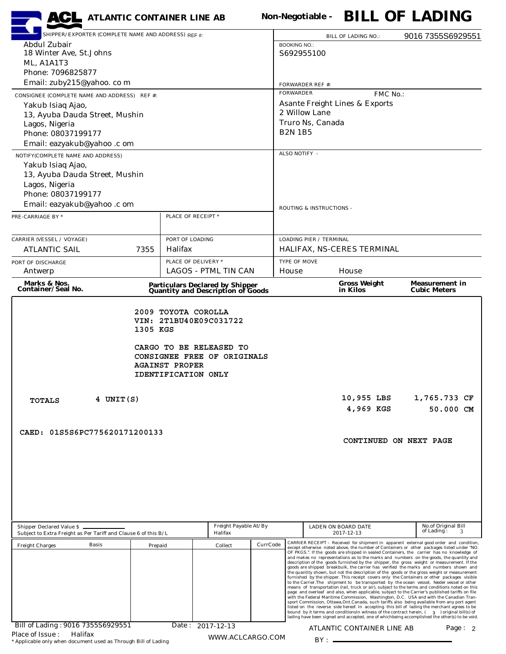| <b>ACL</b> ATLANTIC CONTAINER LINE AB                                                                                                             |                                                                                                                                              |                                           |  |                                                                                                                                                                                                                                                                                                                                                                                                                                                                                                                                                                                                                                                                                                                                                                                                                                                  |                                |                            |                                                   |  | Non-Negotiable - BILL OF LADING                                                                                                                                                                                                                                                                                                                                                                                                                                                                                                                                                                                                                                                                                                                                                                       |  |  |
|---------------------------------------------------------------------------------------------------------------------------------------------------|----------------------------------------------------------------------------------------------------------------------------------------------|-------------------------------------------|--|--------------------------------------------------------------------------------------------------------------------------------------------------------------------------------------------------------------------------------------------------------------------------------------------------------------------------------------------------------------------------------------------------------------------------------------------------------------------------------------------------------------------------------------------------------------------------------------------------------------------------------------------------------------------------------------------------------------------------------------------------------------------------------------------------------------------------------------------------|--------------------------------|----------------------------|---------------------------------------------------|--|-------------------------------------------------------------------------------------------------------------------------------------------------------------------------------------------------------------------------------------------------------------------------------------------------------------------------------------------------------------------------------------------------------------------------------------------------------------------------------------------------------------------------------------------------------------------------------------------------------------------------------------------------------------------------------------------------------------------------------------------------------------------------------------------------------|--|--|
| SHIPPER/EXPORTER (COMPLETE NAME AND ADDRESS) REF #:                                                                                               |                                                                                                                                              |                                           |  | <b>BILL OF LADING NO.:</b>                                                                                                                                                                                                                                                                                                                                                                                                                                                                                                                                                                                                                                                                                                                                                                                                                       |                                |                            | 9016 7355S6929551                                 |  |                                                                                                                                                                                                                                                                                                                                                                                                                                                                                                                                                                                                                                                                                                                                                                                                       |  |  |
| <b>Abdul Zubair</b>                                                                                                                               |                                                                                                                                              | <b>BOOKING NO.:</b><br>S692955100         |  |                                                                                                                                                                                                                                                                                                                                                                                                                                                                                                                                                                                                                                                                                                                                                                                                                                                  |                                |                            |                                                   |  |                                                                                                                                                                                                                                                                                                                                                                                                                                                                                                                                                                                                                                                                                                                                                                                                       |  |  |
| 18 Winter Ave, St.Johns<br>ML, A1A1T3                                                                                                             |                                                                                                                                              |                                           |  |                                                                                                                                                                                                                                                                                                                                                                                                                                                                                                                                                                                                                                                                                                                                                                                                                                                  |                                |                            |                                                   |  |                                                                                                                                                                                                                                                                                                                                                                                                                                                                                                                                                                                                                                                                                                                                                                                                       |  |  |
| Phone: 7096825877                                                                                                                                 |                                                                                                                                              |                                           |  |                                                                                                                                                                                                                                                                                                                                                                                                                                                                                                                                                                                                                                                                                                                                                                                                                                                  |                                |                            |                                                   |  |                                                                                                                                                                                                                                                                                                                                                                                                                                                                                                                                                                                                                                                                                                                                                                                                       |  |  |
| Email: zuby215@yahoo. co m                                                                                                                        |                                                                                                                                              | <b>FORWARDER REF #:</b>                   |  |                                                                                                                                                                                                                                                                                                                                                                                                                                                                                                                                                                                                                                                                                                                                                                                                                                                  |                                |                            |                                                   |  |                                                                                                                                                                                                                                                                                                                                                                                                                                                                                                                                                                                                                                                                                                                                                                                                       |  |  |
| CONSIGNEE (COMPLETE NAME AND ADDRESS) REF #:                                                                                                      |                                                                                                                                              | <b>FORWARDER</b><br>FMC No.:              |  |                                                                                                                                                                                                                                                                                                                                                                                                                                                                                                                                                                                                                                                                                                                                                                                                                                                  |                                |                            |                                                   |  |                                                                                                                                                                                                                                                                                                                                                                                                                                                                                                                                                                                                                                                                                                                                                                                                       |  |  |
| Yakub Isiaq Ajao,                                                                                                                                 |                                                                                                                                              | <b>Asante Freight Lines &amp; Exports</b> |  |                                                                                                                                                                                                                                                                                                                                                                                                                                                                                                                                                                                                                                                                                                                                                                                                                                                  |                                |                            |                                                   |  |                                                                                                                                                                                                                                                                                                                                                                                                                                                                                                                                                                                                                                                                                                                                                                                                       |  |  |
| 13, Ayuba Dauda Street, Mushin                                                                                                                    |                                                                                                                                              |                                           |  | 2 Willow Lane<br>Truro Ns, Canada                                                                                                                                                                                                                                                                                                                                                                                                                                                                                                                                                                                                                                                                                                                                                                                                                |                                |                            |                                                   |  |                                                                                                                                                                                                                                                                                                                                                                                                                                                                                                                                                                                                                                                                                                                                                                                                       |  |  |
| Lagos, Nigeria<br>Phone: 08037199177                                                                                                              |                                                                                                                                              |                                           |  | <b>B2N 1B5</b>                                                                                                                                                                                                                                                                                                                                                                                                                                                                                                                                                                                                                                                                                                                                                                                                                                   |                                |                            |                                                   |  |                                                                                                                                                                                                                                                                                                                                                                                                                                                                                                                                                                                                                                                                                                                                                                                                       |  |  |
| Email: eazyakub@yahoo .c om                                                                                                                       |                                                                                                                                              |                                           |  |                                                                                                                                                                                                                                                                                                                                                                                                                                                                                                                                                                                                                                                                                                                                                                                                                                                  |                                |                            |                                                   |  |                                                                                                                                                                                                                                                                                                                                                                                                                                                                                                                                                                                                                                                                                                                                                                                                       |  |  |
| NOTIFY(COMPLETE NAME AND ADDRESS)                                                                                                                 |                                                                                                                                              |                                           |  | ALSO NOTIFY -                                                                                                                                                                                                                                                                                                                                                                                                                                                                                                                                                                                                                                                                                                                                                                                                                                    |                                |                            |                                                   |  |                                                                                                                                                                                                                                                                                                                                                                                                                                                                                                                                                                                                                                                                                                                                                                                                       |  |  |
| Yakub Isiaq Ajao,                                                                                                                                 |                                                                                                                                              |                                           |  |                                                                                                                                                                                                                                                                                                                                                                                                                                                                                                                                                                                                                                                                                                                                                                                                                                                  |                                |                            |                                                   |  |                                                                                                                                                                                                                                                                                                                                                                                                                                                                                                                                                                                                                                                                                                                                                                                                       |  |  |
| 13, Ayuba Dauda Street, Mushin                                                                                                                    |                                                                                                                                              |                                           |  |                                                                                                                                                                                                                                                                                                                                                                                                                                                                                                                                                                                                                                                                                                                                                                                                                                                  |                                |                            |                                                   |  |                                                                                                                                                                                                                                                                                                                                                                                                                                                                                                                                                                                                                                                                                                                                                                                                       |  |  |
| Lagos, Nigeria                                                                                                                                    |                                                                                                                                              |                                           |  |                                                                                                                                                                                                                                                                                                                                                                                                                                                                                                                                                                                                                                                                                                                                                                                                                                                  |                                |                            |                                                   |  |                                                                                                                                                                                                                                                                                                                                                                                                                                                                                                                                                                                                                                                                                                                                                                                                       |  |  |
| Phone: 08037199177                                                                                                                                |                                                                                                                                              |                                           |  | <b>ROUTING &amp; INSTRUCTIONS -</b>                                                                                                                                                                                                                                                                                                                                                                                                                                                                                                                                                                                                                                                                                                                                                                                                              |                                |                            |                                                   |  |                                                                                                                                                                                                                                                                                                                                                                                                                                                                                                                                                                                                                                                                                                                                                                                                       |  |  |
| Email: eazyakub@yahoo .c om                                                                                                                       |                                                                                                                                              |                                           |  |                                                                                                                                                                                                                                                                                                                                                                                                                                                                                                                                                                                                                                                                                                                                                                                                                                                  |                                |                            |                                                   |  |                                                                                                                                                                                                                                                                                                                                                                                                                                                                                                                                                                                                                                                                                                                                                                                                       |  |  |
| PRE-CARRIAGE BY *                                                                                                                                 | PLACE OF RECEIPT *                                                                                                                           |                                           |  |                                                                                                                                                                                                                                                                                                                                                                                                                                                                                                                                                                                                                                                                                                                                                                                                                                                  |                                |                            |                                                   |  |                                                                                                                                                                                                                                                                                                                                                                                                                                                                                                                                                                                                                                                                                                                                                                                                       |  |  |
|                                                                                                                                                   |                                                                                                                                              |                                           |  |                                                                                                                                                                                                                                                                                                                                                                                                                                                                                                                                                                                                                                                                                                                                                                                                                                                  |                                |                            |                                                   |  |                                                                                                                                                                                                                                                                                                                                                                                                                                                                                                                                                                                                                                                                                                                                                                                                       |  |  |
| <b>CARRIER (VESSEL / VOYAGE)</b>                                                                                                                  | PORT OF LOADING                                                                                                                              |                                           |  |                                                                                                                                                                                                                                                                                                                                                                                                                                                                                                                                                                                                                                                                                                                                                                                                                                                  | <b>LOADING PIER / TERMINAL</b> |                            |                                                   |  |                                                                                                                                                                                                                                                                                                                                                                                                                                                                                                                                                                                                                                                                                                                                                                                                       |  |  |
| <b>ATLANTIC SAIL</b><br>7355                                                                                                                      | Halifax                                                                                                                                      |                                           |  | HALIFAX, NS-CERES TERMINAL                                                                                                                                                                                                                                                                                                                                                                                                                                                                                                                                                                                                                                                                                                                                                                                                                       |                                |                            |                                                   |  |                                                                                                                                                                                                                                                                                                                                                                                                                                                                                                                                                                                                                                                                                                                                                                                                       |  |  |
| PORT OF DISCHARGE                                                                                                                                 | PLACE OF DELIVERY *                                                                                                                          |                                           |  | TYPE OF MOVE                                                                                                                                                                                                                                                                                                                                                                                                                                                                                                                                                                                                                                                                                                                                                                                                                                     |                                |                            |                                                   |  |                                                                                                                                                                                                                                                                                                                                                                                                                                                                                                                                                                                                                                                                                                                                                                                                       |  |  |
|                                                                                                                                                   | <b>LAGOS - PTML TIN CAN</b><br>Antwerp                                                                                                       |                                           |  |                                                                                                                                                                                                                                                                                                                                                                                                                                                                                                                                                                                                                                                                                                                                                                                                                                                  | House<br>House                 |                            |                                                   |  |                                                                                                                                                                                                                                                                                                                                                                                                                                                                                                                                                                                                                                                                                                                                                                                                       |  |  |
| Marks & Nos.<br>Container/Seal No.                                                                                                                | <b>Particulars Declared by Shipper</b><br><b>Quantity and Description of Goods</b>                                                           |                                           |  | <b>Gross Weight</b><br>in Kilos                                                                                                                                                                                                                                                                                                                                                                                                                                                                                                                                                                                                                                                                                                                                                                                                                  |                                |                            |                                                   |  | <b>Measurement in</b><br><b>Cubic Meters</b>                                                                                                                                                                                                                                                                                                                                                                                                                                                                                                                                                                                                                                                                                                                                                          |  |  |
| 4 UNIT(S)<br><b>TOTALS</b><br>CAED: 01S5S6PC775620171200133                                                                                       | VIN: 2T1BU40E09C031722<br>1305 KGS<br>CARGO TO BE RELEASED TO<br>CONSIGNEE FREE OF ORIGINALS<br><b>AGAINST PROPER</b><br>IDENTIFICATION ONLY |                                           |  |                                                                                                                                                                                                                                                                                                                                                                                                                                                                                                                                                                                                                                                                                                                                                                                                                                                  |                                |                            | 10,955 LBS<br>4,969 KGS<br>CONTINUED ON NEXT PAGE |  | 1,765.733 CF<br>50.000 CM                                                                                                                                                                                                                                                                                                                                                                                                                                                                                                                                                                                                                                                                                                                                                                             |  |  |
| Shipper Declared Value \$<br>Subject to Extra Freight as Per Tariff and Clause 6 of this B/L<br><b>Basis</b><br><b>Freight Charges</b><br>Prepaid | Freight Payable At/By<br>Halifax<br>Collect                                                                                                  | CurrCode                                  |  | No.of Original Bill<br>LADEN ON BOARD DATE<br>of Lading:<br>3<br>2017-12-13<br>CARRIER RECEIPT - Received for shipment in apparent external good order and condition,<br>except otherwise noted above, the number of Containers or other packages listed under "NO.<br>OF PKGS.". If the goods are shipped in sealed Containers, the carrier has no knowledge of<br>and makes no representations as to the marks and numbers on the goods, the quantity and<br>description of the goods furnished by the shipper, the gross weight or measurement. If the<br>goods are shipped breakbulk, the carrier has verified the marks and numbers shown and<br>the quantity shown, but not the description of the goods or the gross weight or measurement<br>furnished by the shipper. This receipt covers only the Containers or other packages visible |                                |                            |                                                   |  |                                                                                                                                                                                                                                                                                                                                                                                                                                                                                                                                                                                                                                                                                                                                                                                                       |  |  |
| Bill of Lading: 9016 7355S6929551<br>Place of Issue:<br>Halifax<br>* Applicable only when document used as Through Bill of Lading                 |                                                                                                                                              | Date: 2017-12-13<br>WWW.ACLCARGO.COM      |  |                                                                                                                                                                                                                                                                                                                                                                                                                                                                                                                                                                                                                                                                                                                                                                                                                                                  | $BY:$ —                        | ATLANTIC CONTAINER LINE AB |                                                   |  | to the Carrier.The shipment to be transported by the ocean vessel, feeder vessel or other<br>means of transportation (rail, truck or air), subject to the terms and conditions noted on this<br>page and overleaf and also, when applicable, subject to the Carrier's published tariffs on file<br>with the Federal Maritime Commission, Washington, D.C. USA and with the Canadian Tran-<br>sport Commission, Ottawa, Ont. Canada, such tariffs also being available from any port agent<br>listed on the reverse side hereof. In accepting this bill of lading the merchant agrees to be<br>bound by it terms and conditions in witness of the contract herein, (3) original bill(s) of<br>lading have been signed and accepted, one of whichbeing accomplished the other(s) to be void.<br>Page: 2 |  |  |